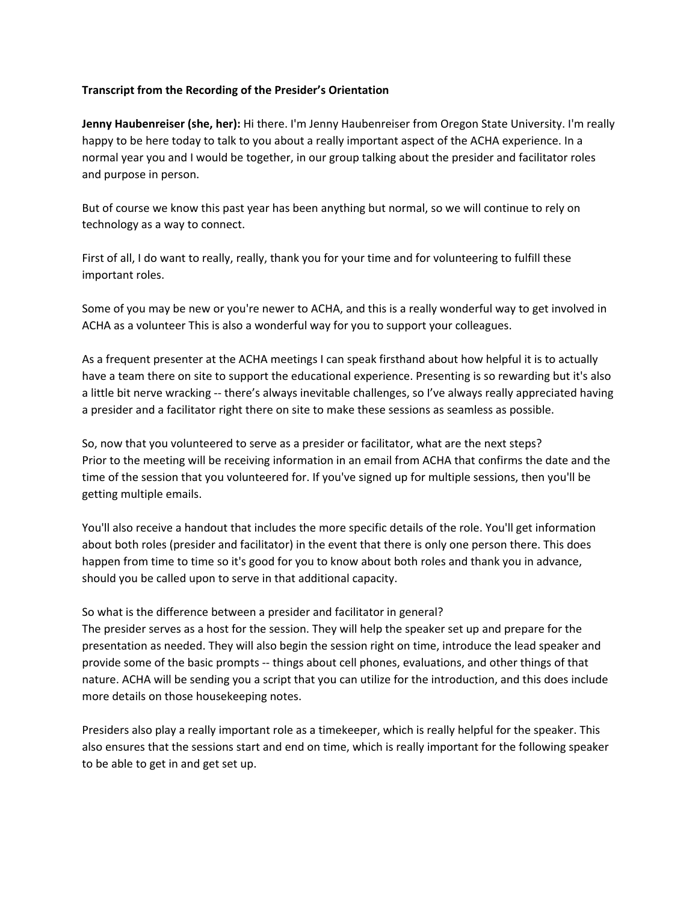## **Transcript from the Recording of the Presider's Orientation**

**Jenny Haubenreiser (she, her):** Hi there. I'm Jenny Haubenreiser from Oregon State University. I'm really happy to be here today to talk to you about a really important aspect of the ACHA experience. In a normal year you and I would be together, in our group talking about the presider and facilitator roles and purpose in person.

But of course we know this past year has been anything but normal, so we will continue to rely on technology as a way to connect.

First of all, I do want to really, really, thank you for your time and for volunteering to fulfill these important roles.

Some of you may be new or you're newer to ACHA, and this is a really wonderful way to get involved in ACHA as a volunteer This is also a wonderful way for you to support your colleagues.

As a frequent presenter at the ACHA meetings I can speak firsthand about how helpful it is to actually have a team there on site to support the educational experience. Presenting is so rewarding but it's also a little bit nerve wracking -- there's always inevitable challenges, so I've always really appreciated having a presider and a facilitator right there on site to make these sessions as seamless as possible.

So, now that you volunteered to serve as a presider or facilitator, what are the next steps? Prior to the meeting will be receiving information in an email from ACHA that confirms the date and the time of the session that you volunteered for. If you've signed up for multiple sessions, then you'll be getting multiple emails.

You'll also receive a handout that includes the more specific details of the role. You'll get information about both roles (presider and facilitator) in the event that there is only one person there. This does happen from time to time so it's good for you to know about both roles and thank you in advance, should you be called upon to serve in that additional capacity.

## So what is the difference between a presider and facilitator in general?

The presider serves as a host for the session. They will help the speaker set up and prepare for the presentation as needed. They will also begin the session right on time, introduce the lead speaker and provide some of the basic prompts -- things about cell phones, evaluations, and other things of that nature. ACHA will be sending you a script that you can utilize for the introduction, and this does include more details on those housekeeping notes.

Presiders also play a really important role as a timekeeper, which is really helpful for the speaker. This also ensures that the sessions start and end on time, which is really important for the following speaker to be able to get in and get set up.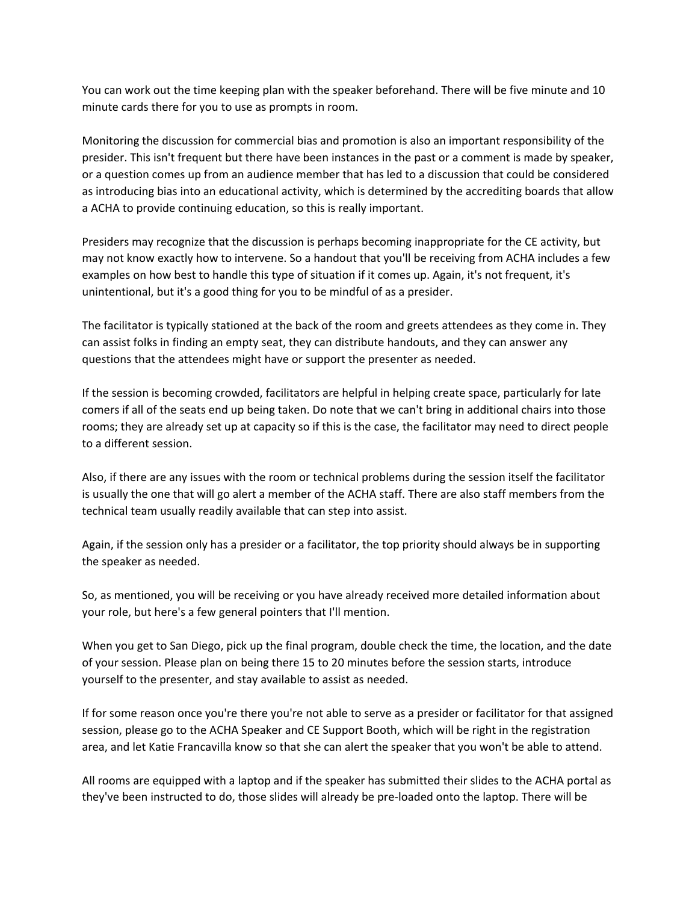You can work out the time keeping plan with the speaker beforehand. There will be five minute and 10 minute cards there for you to use as prompts in room.

Monitoring the discussion for commercial bias and promotion is also an important responsibility of the presider. This isn't frequent but there have been instances in the past or a comment is made by speaker, or a question comes up from an audience member that has led to a discussion that could be considered as introducing bias into an educational activity, which is determined by the accrediting boards that allow a ACHA to provide continuing education, so this is really important.

Presiders may recognize that the discussion is perhaps becoming inappropriate for the CE activity, but may not know exactly how to intervene. So a handout that you'll be receiving from ACHA includes a few examples on how best to handle this type of situation if it comes up. Again, it's not frequent, it's unintentional, but it's a good thing for you to be mindful of as a presider.

The facilitator is typically stationed at the back of the room and greets attendees as they come in. They can assist folks in finding an empty seat, they can distribute handouts, and they can answer any questions that the attendees might have or support the presenter as needed.

If the session is becoming crowded, facilitators are helpful in helping create space, particularly for late comers if all of the seats end up being taken. Do note that we can't bring in additional chairs into those rooms; they are already set up at capacity so if this is the case, the facilitator may need to direct people to a different session.

Also, if there are any issues with the room or technical problems during the session itself the facilitator is usually the one that will go alert a member of the ACHA staff. There are also staff members from the technical team usually readily available that can step into assist.

Again, if the session only has a presider or a facilitator, the top priority should always be in supporting the speaker as needed.

So, as mentioned, you will be receiving or you have already received more detailed information about your role, but here's a few general pointers that I'll mention.

When you get to San Diego, pick up the final program, double check the time, the location, and the date of your session. Please plan on being there 15 to 20 minutes before the session starts, introduce yourself to the presenter, and stay available to assist as needed.

If for some reason once you're there you're not able to serve as a presider or facilitator for that assigned session, please go to the ACHA Speaker and CE Support Booth, which will be right in the registration area, and let Katie Francavilla know so that she can alert the speaker that you won't be able to attend.

All rooms are equipped with a laptop and if the speaker has submitted their slides to the ACHA portal as they've been instructed to do, those slides will already be pre-loaded onto the laptop. There will be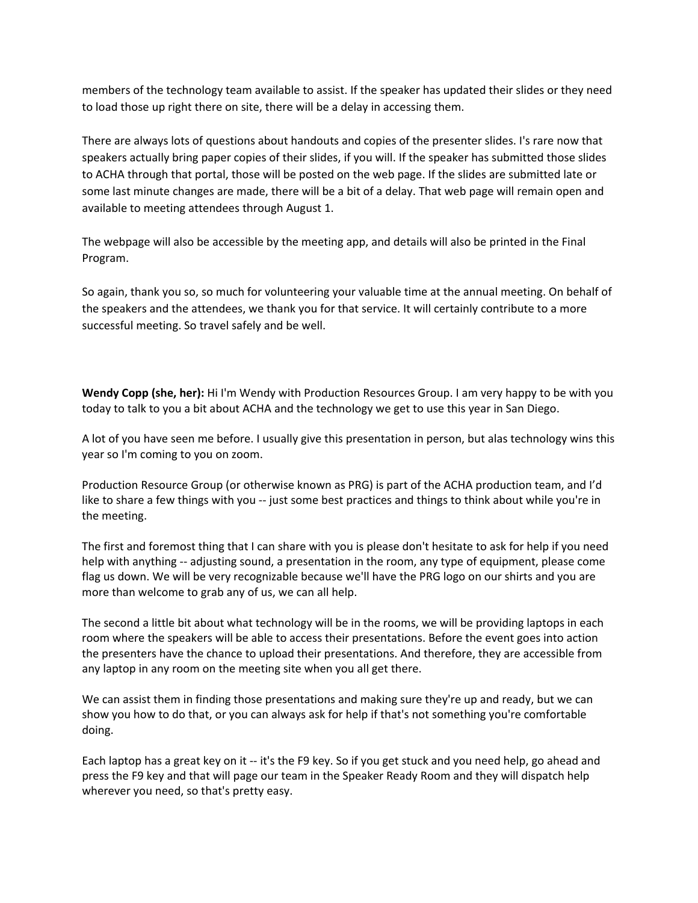members of the technology team available to assist. If the speaker has updated their slides or they need to load those up right there on site, there will be a delay in accessing them.

There are always lots of questions about handouts and copies of the presenter slides. I's rare now that speakers actually bring paper copies of their slides, if you will. If the speaker has submitted those slides to ACHA through that portal, those will be posted on the web page. If the slides are submitted late or some last minute changes are made, there will be a bit of a delay. That web page will remain open and available to meeting attendees through August 1.

The webpage will also be accessible by the meeting app, and details will also be printed in the Final Program.

So again, thank you so, so much for volunteering your valuable time at the annual meeting. On behalf of the speakers and the attendees, we thank you for that service. It will certainly contribute to a more successful meeting. So travel safely and be well.

**Wendy Copp (she, her):** Hi I'm Wendy with Production Resources Group. I am very happy to be with you today to talk to you a bit about ACHA and the technology we get to use this year in San Diego.

A lot of you have seen me before. I usually give this presentation in person, but alas technology wins this year so I'm coming to you on zoom.

Production Resource Group (or otherwise known as PRG) is part of the ACHA production team, and I'd like to share a few things with you -- just some best practices and things to think about while you're in the meeting.

The first and foremost thing that I can share with you is please don't hesitate to ask for help if you need help with anything -- adjusting sound, a presentation in the room, any type of equipment, please come flag us down. We will be very recognizable because we'll have the PRG logo on our shirts and you are more than welcome to grab any of us, we can all help.

The second a little bit about what technology will be in the rooms, we will be providing laptops in each room where the speakers will be able to access their presentations. Before the event goes into action the presenters have the chance to upload their presentations. And therefore, they are accessible from any laptop in any room on the meeting site when you all get there.

We can assist them in finding those presentations and making sure they're up and ready, but we can show you how to do that, or you can always ask for help if that's not something you're comfortable doing.

Each laptop has a great key on it -- it's the F9 key. So if you get stuck and you need help, go ahead and press the F9 key and that will page our team in the Speaker Ready Room and they will dispatch help wherever you need, so that's pretty easy.